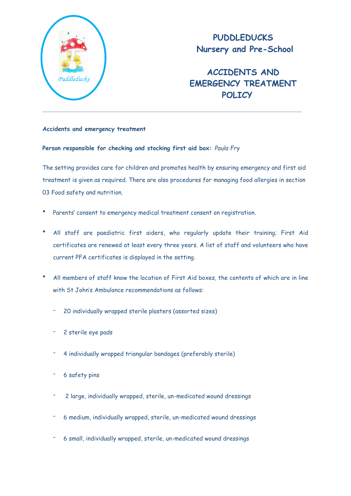

## **PUDDLEDUCKS Nursery and Pre-School**

# **ACCIDENTS AND EMERGENCY TREATMENT POLICY**

### **Accidents and emergency treatment**

#### **Person responsible for checking and stocking first aid box:** *Paula Fry*

The setting provides care for children and promotes health by ensuring emergency and first aid treatment is given as required. There are also procedures for managing food allergies in section 03 Food safety and nutrition.

- Parents' consent to emergency medical treatment consent on registration.
- All staff are paediatric first aiders, who regularly update their training; First Aid certificates are renewed at least every three years. A list of staff and volunteers who have current PFA certificates is displayed in the setting.
- All members of staff know the location of First Aid boxes, the contents of which are in line with St John's Ambulance recommendations as follows:
	- 20 individually wrapped sterile plasters (assorted sizes)
	- 2 sterile eye pads
	- 4 individually wrapped triangular bandages (preferably sterile)
	- 6 safety pins
	- 2 large, individually wrapped, sterile, un-medicated wound dressings
	- 6 medium, individually wrapped, sterile, un-medicated wound dressings
	- 6 small, individually wrapped, sterile, un-medicated wound dressings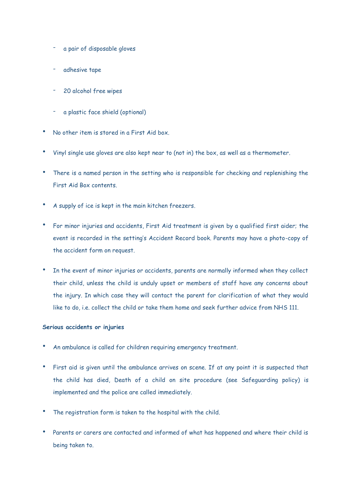- a pair of disposable gloves
- adhesive tape
- 20 alcohol free wipes
- a plastic face shield (optional)
- No other item is stored in a First Aid box.
- Vinyl single use gloves are also kept near to (not in) the box, as well as a thermometer.
- There is a named person in the setting who is responsible for checking and replenishing the First Aid Box contents.
- A supply of ice is kept in the main kitchen freezers.
- For minor injuries and accidents, First Aid treatment is given by a qualified first aider; the event is recorded in the setting's Accident Record book. Parents may have a photo-copy of the accident form on request.
- In the event of minor injuries or accidents, parents are normally informed when they collect their child, unless the child is unduly upset or members of staff have any concerns about the injury. In which case they will contact the parent for clarification of what they would like to do, i.e. collect the child or take them home and seek further advice from NHS 111.

#### **Serious accidents or injuries**

- An ambulance is called for children requiring emergency treatment.
- First aid is given until the ambulance arrives on scene. If at any point it is suspected that the child has died, Death of a child on site procedure (see Safeguarding policy) is implemented and the police are called immediately.
- The registration form is taken to the hospital with the child.
- Parents or carers are contacted and informed of what has happened and where their child is being taken to.